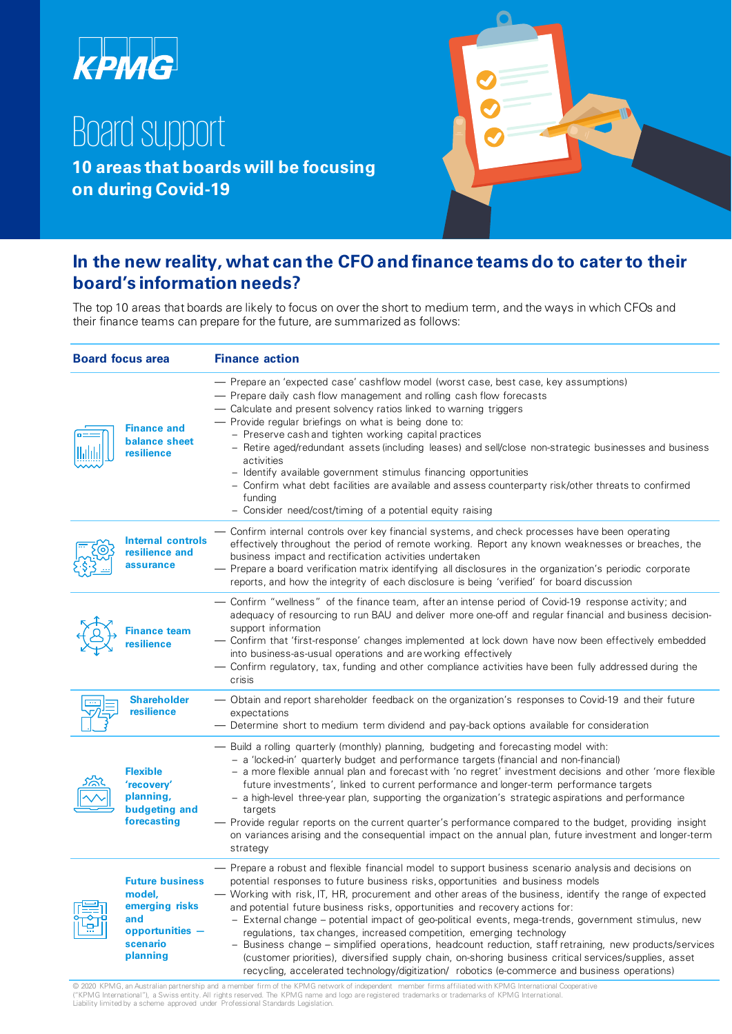

## Board support

**10 areas that boards will be focusing on during Covid-19**



## **In the new reality, what can the CFO and finance teams do to cater to their board's information needs?**

The top 10 areas that boards are likely to focus on over the short to medium term, and the ways in which CFOs and their finance teams can prepare for the future, are summarized as follows:

| <b>Board focus area</b> |                                                                                                        | <b>Finance action</b>                                                                                                                                                                                                                                                                                                                                                                                                                                                                                                                                                                                                                                                                                                                                                                                                                                                                      |  |
|-------------------------|--------------------------------------------------------------------------------------------------------|--------------------------------------------------------------------------------------------------------------------------------------------------------------------------------------------------------------------------------------------------------------------------------------------------------------------------------------------------------------------------------------------------------------------------------------------------------------------------------------------------------------------------------------------------------------------------------------------------------------------------------------------------------------------------------------------------------------------------------------------------------------------------------------------------------------------------------------------------------------------------------------------|--|
|                         | <b>Finance and</b><br>balance sheet<br>resilience                                                      | — Prepare an 'expected case' cashflow model (worst case, best case, key assumptions)<br>— Prepare daily cash flow management and rolling cash flow forecasts<br>— Calculate and present solvency ratios linked to warning triggers<br>- Provide regular briefings on what is being done to:<br>- Preserve cash and tighten working capital practices<br>- Retire aged/redundant assets (including leases) and sell/close non-strategic businesses and business<br>activities<br>- Identify available government stimulus financing opportunities<br>- Confirm what debt facilities are available and assess counterparty risk/other threats to confirmed<br>funding<br>- Consider need/cost/timing of a potential equity raising                                                                                                                                                           |  |
|                         | <b>Internal controls</b><br>resilience and<br>assurance                                                | Confirm internal controls over key financial systems, and check processes have been operating<br>effectively throughout the period of remote working. Report any known weaknesses or breaches, the<br>business impact and rectification activities undertaken<br>- Prepare a board verification matrix identifying all disclosures in the organization's periodic corporate<br>reports, and how the integrity of each disclosure is being 'verified' for board discussion                                                                                                                                                                                                                                                                                                                                                                                                                  |  |
|                         | <b>Finance team</b><br>resilience                                                                      | — Confirm "wellness" of the finance team, after an intense period of Covid-19 response activity; and<br>adequacy of resourcing to run BAU and deliver more one-off and regular financial and business decision-<br>support information<br>- Confirm that 'first-response' changes implemented at lock down have now been effectively embedded<br>into business-as-usual operations and are working effectively<br>— Confirm regulatory, tax, funding and other compliance activities have been fully addressed during the<br>crisis                                                                                                                                                                                                                                                                                                                                                        |  |
|                         | <b>Shareholder</b><br>resilience                                                                       | — Obtain and report shareholder feedback on the organization's responses to Covid-19 and their future<br>expectations<br>— Determine short to medium term dividend and pay-back options available for consideration                                                                                                                                                                                                                                                                                                                                                                                                                                                                                                                                                                                                                                                                        |  |
|                         | <b>Flexible</b><br>'recovery'<br>planning,<br>budgeting and<br>forecasting                             | — Build a rolling quarterly (monthly) planning, budgeting and forecasting model with:<br>- a 'locked-in' quarterly budget and performance targets (financial and non-financial)<br>- a more flexible annual plan and forecast with 'no regret' investment decisions and other 'more flexible<br>future investments', linked to current performance and longer-term performance targets<br>- a high-level three-year plan, supporting the organization's strategic aspirations and performance<br>targets<br>— Provide regular reports on the current quarter's performance compared to the budget, providing insight<br>on variances arising and the consequential impact on the annual plan, future investment and longer-term<br>strategy                                                                                                                                                |  |
|                         | <b>Future business</b><br>model,<br>emerging risks<br>and<br>opportunities $-$<br>scenario<br>planning | - Prepare a robust and flexible financial model to support business scenario analysis and decisions on<br>potential responses to future business risks, opportunities and business models<br>— Working with risk, IT, HR, procurement and other areas of the business, identify the range of expected<br>and potential future business risks, opportunities and recovery actions for:<br>- External change – potential impact of geo-political events, mega-trends, government stimulus, new<br>regulations, tax changes, increased competition, emerging technology<br>- Business change – simplified operations, headcount reduction, staff retraining, new products/services<br>(customer priorities), diversified supply chain, on-shoring business critical services/supplies, asset<br>recycling, accelerated technology/digitization/ robotics (e-commerce and business operations) |  |

© 2020 KPMG, an Australian partnership and a member firm of the KPMG network of independent member firms affiliated with KPMG International Cooperative ("KPMG International"), a Swiss entity. All rights reserved. The KPMG name and logo are registered trademarks or trademarks of KPMG International.<br>Liability limited by a scheme approved under Professional Standards Legisla